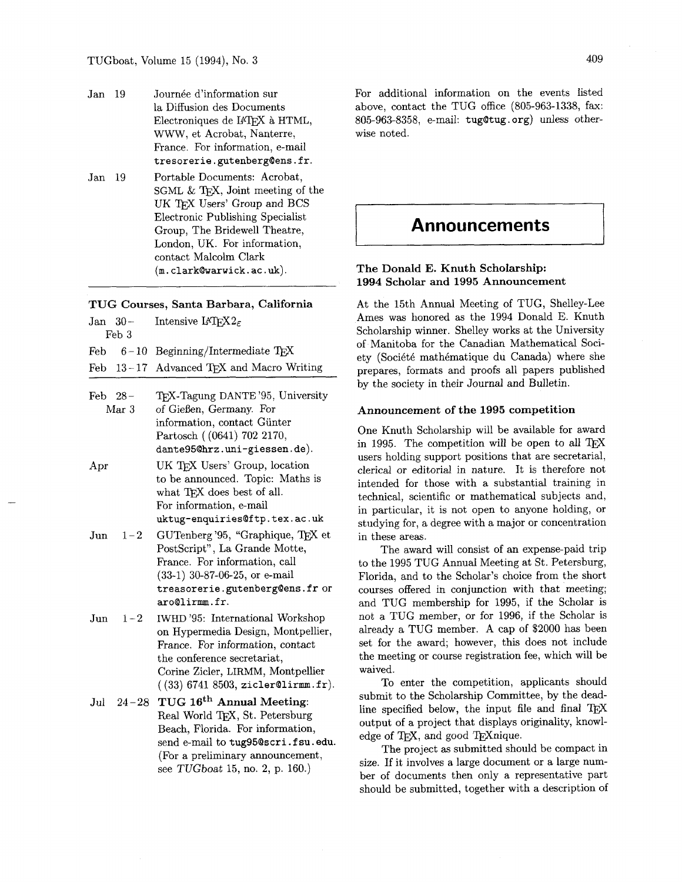- Jan 19 Journée d'information sur la Diffusion des Documents Electroniques de IATFX à HTML, WWW, et Acrobat, Nanterre, France. For information, e-mail **tresorerie.gutenbergQens.fr.**
- Jan 19 Portable Documents: Acrobat, SGML  $&$  T<sub>F</sub>X, Joint meeting of the UK TFX Users' Group and BCS Electronic Publishing Specialist Group, The Bridewell Theatre, London, UK. For information, contact Malcolm Clark (m. clarkQwarwick. ac . **uk).**

#### **TUG Courses, Santa Barbara, California**

|                         | Feb 3 | Jan 30 – Intensive $\text{LFT}X2_{\epsilon}$                                                         |
|-------------------------|-------|------------------------------------------------------------------------------------------------------|
|                         |       | Feb $6-10$ Beginning/Intermediate TEX                                                                |
|                         |       | Feb $13-17$ Advanced TFX and Macro Writing                                                           |
| $\mathbf{r}$ i $\alpha$ |       | $\boldsymbol{m}$ at $\boldsymbol{m}$ and $\boldsymbol{m}$ and $\boldsymbol{m}$ if $\boldsymbol{m}$ . |

- Feb 28 TEX-Tagung DANTE '95, University<br>Mar 3 of Gießen, Germany. For of Gießen, Germany. For information, contact Giinter Partosch ( (0641) 702 2170, dante95@hrz.uni-giessen.de).
- Apr UK TEX Users' Group, location to be announced. Topic: Maths is what TFX does best of all. For information, e-mail **uktug-enquiriesQftp.tex.ac.uk**
- Jun  $1-2$  GUTenberg '95, "Graphique, TFX et PostScript", La Grande Motte, France. For information, call (33-1) 30-87-06-25, or e-mail **treasorerie.gutenberg@ens.fr** or aroQlirmm.fr.
- Jun  $1-2$  IWHD '95: International Workshop on Hypermedia Design, Montpellier, France. For information, contact the conference secretariat, Corine Zicler, LIRMM, Montpellier  $( (33) 6741 8503, zicler@lirmm.fr).$

Jul  $24-28$  TUG  $16<sup>th</sup>$  Annual Meeting: Real World TEX, St. Petersburg Beach, Florida. For information, send e-mail to tug95@scri.fsu.edu. (For a preliminary announcement, see TUGboat 15, no. 2, p. 160.)

For additional information on the events listed above, contact the TUG office (805-963-1338, fax: 805-963-8358, e-mail: tugotug . org) unless otherwise noted.

# **Announcements**

# **The Donald E. Knuth Scholarship: 1994 Scholar and 1995 Announcement**

At the 15th Annual Meeting of TUG, Shelley-Lee Ames was honored as the 1994 Donald E. Knuth Scholarship winner. Shelley works at the University of Manitoba for the Canadian Mathematical Society (Société mathématique du Canada) where she prepares, formats and proofs all papers published by the society in their Journal and Bulletin.

### **Announcement of the 1995 competition**

One Knuth Scholarship will be available for award in 1995. The competition will be open to all users holding support positions that are secretarial, clerical or editorial in nature. It is therefore not intended for those with a substantial training in technical, scientific or mathematical subjects and, in particular, it is not open to anyone holding, or studying for, a degree with a major or concentration in these areas.

The award will consist of an expense-paid trip to the 1995 TUG Annual Meeting at St. Petersburg, Florida, and to the Scholar's choice from the short courses offered in conjunction with that meeting; and TUG membership for 1995, if the Scholar is not a TUG member, or for 1996, if the Scholar is already a TUG member. A cap of \$2000 has been set for the award; however, this does not include the meeting or course registration fee, which will be waived.

To enter the competition, applicants should submit to the Scholarship Committee, by the deadline specified below, the input file and final TFX output of a project that displays originality, knowledge of TFX, and good TEXnique.

The project as submitted should be compact in size. If it involves a large document or a large number of documents then only a representative part should be submitted, together with a description of